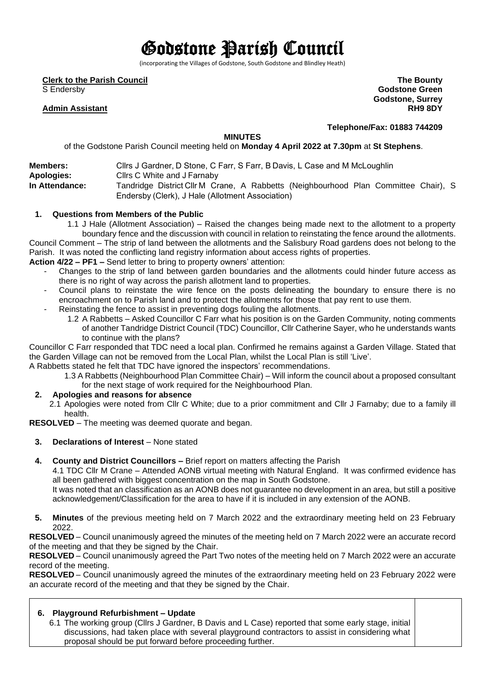# Godstone Parish Council

(incorporating the Villages of Godstone, South Godstone and Blindley Heath)

**Clerk to the Parish Council**

S Endersby

## **Admin Assistant**

**The Bounty Godstone Green Godstone, Surrey RH9 8DY**

**Telephone/Fax: 01883 744209**

#### **MINUTES**

of the Godstone Parish Council meeting held on **Monday 4 April 2022 at 7.30pm** at **St Stephens**.

| <b>Members:</b>   | Cllrs J Gardner, D Stone, C Farr, S Farr, B Davis, L Case and M McLoughlin          |  |  |  |  |  |
|-------------------|-------------------------------------------------------------------------------------|--|--|--|--|--|
|                   |                                                                                     |  |  |  |  |  |
| <b>Apologies:</b> | Cllrs C White and J Farnaby                                                         |  |  |  |  |  |
| In Attendance:    | Tandridge District Cllr M Crane, A Rabbetts (Neighbourhood Plan Committee Chair), S |  |  |  |  |  |
|                   | Endersby (Clerk), J Hale (Allotment Association)                                    |  |  |  |  |  |

#### **1. Questions from Members of the Public**

1.1 J Hale (Allotment Association) – Raised the changes being made next to the allotment to a property boundary fence and the discussion with council in relation to reinstating the fence around the allotments.

Council Comment – The strip of land between the allotments and the Salisbury Road gardens does not belong to the Parish. It was noted the conflicting land registry information about access rights of properties. **Action 4/22 – PF1 –** Send letter to bring to property owners' attention:

- Changes to the strip of land between garden boundaries and the allotments could hinder future access as there is no right of way across the parish allotment land to properties.
- Council plans to reinstate the wire fence on the posts delineating the boundary to ensure there is no encroachment on to Parish land and to protect the allotments for those that pay rent to use them.
- Reinstating the fence to assist in preventing dogs fouling the allotments.
	- 1.2 A Rabbetts Asked Councillor C Farr what his position is on the Garden Community, noting comments of another Tandridge District Council (TDC) Councillor, Cllr Catherine Sayer, who he understands wants to continue with the plans?

Councillor C Farr responded that TDC need a local plan. Confirmed he remains against a Garden Village. Stated that the Garden Village can not be removed from the Local Plan, whilst the Local Plan is still 'Live'.

A Rabbetts stated he felt that TDC have ignored the inspectors' recommendations.

1.3 A Rabbetts (Neighbourhood Plan Committee Chair) – Will inform the council about a proposed consultant for the next stage of work required for the Neighbourhood Plan.

## **2. Apologies and reasons for absence**

2.1 Apologies were noted from Cllr C White; due to a prior commitment and Cllr J Farnaby; due to a family ill health.

**RESOLVED** – The meeting was deemed quorate and began.

- **3. Declarations of Interest** None stated
- **4. County and District Councillors –** Brief report on matters affecting the Parish

4.1 TDC Cllr M Crane – Attended AONB virtual meeting with Natural England. It was confirmed evidence has all been gathered with biggest concentration on the map in South Godstone.

It was noted that an classification as an AONB does not guarantee no development in an area, but still a positive acknowledgement/Classification for the area to have if it is included in any extension of the AONB.

**5. Minutes** of the previous meeting held on 7 March 2022 and the extraordinary meeting held on 23 February 2022.

**RESOLVED** – Council unanimously agreed the minutes of the meeting held on 7 March 2022 were an accurate record of the meeting and that they be signed by the Chair.

**RESOLVED** – Council unanimously agreed the Part Two notes of the meeting held on 7 March 2022 were an accurate record of the meeting.

**RESOLVED** – Council unanimously agreed the minutes of the extraordinary meeting held on 23 February 2022 were an accurate record of the meeting and that they be signed by the Chair.

# **6. Playground Refurbishment – Update**

6.1 The working group (Cllrs J Gardner, B Davis and L Case) reported that some early stage, initial discussions, had taken place with several playground contractors to assist in considering what proposal should be put forward before proceeding further.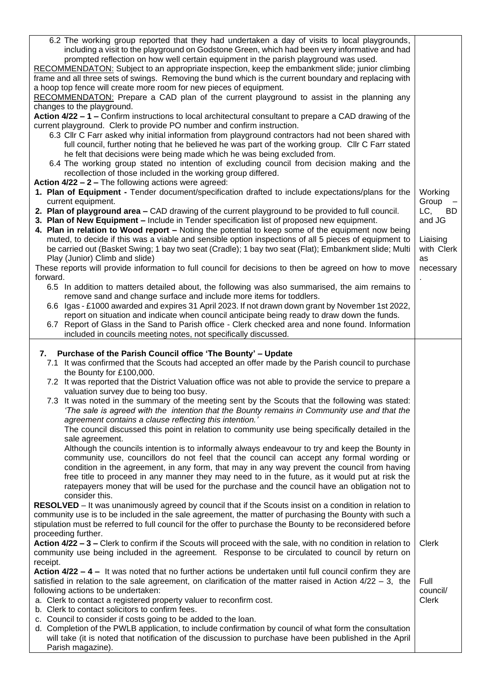| including a visit to the playground on Godstone Green, which had been very informative and had                                                                                                                                                                                                                                                                                                                                                                                                                                                                                                                                                                                                                                                                                                                                                                                                                                                                                                                                                                                            |            |  |  |  |
|-------------------------------------------------------------------------------------------------------------------------------------------------------------------------------------------------------------------------------------------------------------------------------------------------------------------------------------------------------------------------------------------------------------------------------------------------------------------------------------------------------------------------------------------------------------------------------------------------------------------------------------------------------------------------------------------------------------------------------------------------------------------------------------------------------------------------------------------------------------------------------------------------------------------------------------------------------------------------------------------------------------------------------------------------------------------------------------------|------------|--|--|--|
|                                                                                                                                                                                                                                                                                                                                                                                                                                                                                                                                                                                                                                                                                                                                                                                                                                                                                                                                                                                                                                                                                           |            |  |  |  |
| prompted reflection on how well certain equipment in the parish playground was used.                                                                                                                                                                                                                                                                                                                                                                                                                                                                                                                                                                                                                                                                                                                                                                                                                                                                                                                                                                                                      |            |  |  |  |
| RECOMMENDATON: Subject to an appropriate inspection, keep the embankment slide; junior climbing                                                                                                                                                                                                                                                                                                                                                                                                                                                                                                                                                                                                                                                                                                                                                                                                                                                                                                                                                                                           |            |  |  |  |
| frame and all three sets of swings. Removing the bund which is the current boundary and replacing with                                                                                                                                                                                                                                                                                                                                                                                                                                                                                                                                                                                                                                                                                                                                                                                                                                                                                                                                                                                    |            |  |  |  |
| a hoop top fence will create more room for new pieces of equipment.                                                                                                                                                                                                                                                                                                                                                                                                                                                                                                                                                                                                                                                                                                                                                                                                                                                                                                                                                                                                                       |            |  |  |  |
| RECOMMENDATON: Prepare a CAD plan of the current playground to assist in the planning any                                                                                                                                                                                                                                                                                                                                                                                                                                                                                                                                                                                                                                                                                                                                                                                                                                                                                                                                                                                                 |            |  |  |  |
| changes to the playground.                                                                                                                                                                                                                                                                                                                                                                                                                                                                                                                                                                                                                                                                                                                                                                                                                                                                                                                                                                                                                                                                |            |  |  |  |
| Action 4/22 - 1 - Confirm instructions to local architectural consultant to prepare a CAD drawing of the                                                                                                                                                                                                                                                                                                                                                                                                                                                                                                                                                                                                                                                                                                                                                                                                                                                                                                                                                                                  |            |  |  |  |
| current playground. Clerk to provide PO number and confirm instruction.                                                                                                                                                                                                                                                                                                                                                                                                                                                                                                                                                                                                                                                                                                                                                                                                                                                                                                                                                                                                                   |            |  |  |  |
| 6.3 Cllr C Farr asked why initial information from playground contractors had not been shared with                                                                                                                                                                                                                                                                                                                                                                                                                                                                                                                                                                                                                                                                                                                                                                                                                                                                                                                                                                                        |            |  |  |  |
| full council, further noting that he believed he was part of the working group. Cllr C Farr stated                                                                                                                                                                                                                                                                                                                                                                                                                                                                                                                                                                                                                                                                                                                                                                                                                                                                                                                                                                                        |            |  |  |  |
| he felt that decisions were being made which he was being excluded from.                                                                                                                                                                                                                                                                                                                                                                                                                                                                                                                                                                                                                                                                                                                                                                                                                                                                                                                                                                                                                  |            |  |  |  |
| 6.4 The working group stated no intention of excluding council from decision making and the                                                                                                                                                                                                                                                                                                                                                                                                                                                                                                                                                                                                                                                                                                                                                                                                                                                                                                                                                                                               |            |  |  |  |
| recollection of those included in the working group differed.                                                                                                                                                                                                                                                                                                                                                                                                                                                                                                                                                                                                                                                                                                                                                                                                                                                                                                                                                                                                                             |            |  |  |  |
| <b>Action 4/22 - 2 - The following actions were agreed:</b>                                                                                                                                                                                                                                                                                                                                                                                                                                                                                                                                                                                                                                                                                                                                                                                                                                                                                                                                                                                                                               |            |  |  |  |
| 1. Plan of Equipment - Tender document/specification drafted to include expectations/plans for the                                                                                                                                                                                                                                                                                                                                                                                                                                                                                                                                                                                                                                                                                                                                                                                                                                                                                                                                                                                        | Working    |  |  |  |
| current equipment.                                                                                                                                                                                                                                                                                                                                                                                                                                                                                                                                                                                                                                                                                                                                                                                                                                                                                                                                                                                                                                                                        | Group      |  |  |  |
|                                                                                                                                                                                                                                                                                                                                                                                                                                                                                                                                                                                                                                                                                                                                                                                                                                                                                                                                                                                                                                                                                           |            |  |  |  |
| 2. Plan of playground area - CAD drawing of the current playground to be provided to full council.                                                                                                                                                                                                                                                                                                                                                                                                                                                                                                                                                                                                                                                                                                                                                                                                                                                                                                                                                                                        | LC, BD     |  |  |  |
| 3. Plan of New Equipment - Include in Tender specification list of proposed new equipment.                                                                                                                                                                                                                                                                                                                                                                                                                                                                                                                                                                                                                                                                                                                                                                                                                                                                                                                                                                                                | and JG     |  |  |  |
| 4. Plan in relation to Wood report - Noting the potential to keep some of the equipment now being                                                                                                                                                                                                                                                                                                                                                                                                                                                                                                                                                                                                                                                                                                                                                                                                                                                                                                                                                                                         |            |  |  |  |
| muted, to decide if this was a viable and sensible option inspections of all 5 pieces of equipment to                                                                                                                                                                                                                                                                                                                                                                                                                                                                                                                                                                                                                                                                                                                                                                                                                                                                                                                                                                                     | Liaising   |  |  |  |
| be carried out (Basket Swing; 1 bay two seat (Cradle); 1 bay two seat (Flat); Embankment slide; Multi                                                                                                                                                                                                                                                                                                                                                                                                                                                                                                                                                                                                                                                                                                                                                                                                                                                                                                                                                                                     | with Clerk |  |  |  |
| Play (Junior) Climb and slide)                                                                                                                                                                                                                                                                                                                                                                                                                                                                                                                                                                                                                                                                                                                                                                                                                                                                                                                                                                                                                                                            | as         |  |  |  |
| These reports will provide information to full council for decisions to then be agreed on how to move                                                                                                                                                                                                                                                                                                                                                                                                                                                                                                                                                                                                                                                                                                                                                                                                                                                                                                                                                                                     | necessary  |  |  |  |
| forward.                                                                                                                                                                                                                                                                                                                                                                                                                                                                                                                                                                                                                                                                                                                                                                                                                                                                                                                                                                                                                                                                                  |            |  |  |  |
| 6.5 In addition to matters detailed about, the following was also summarised, the aim remains to                                                                                                                                                                                                                                                                                                                                                                                                                                                                                                                                                                                                                                                                                                                                                                                                                                                                                                                                                                                          |            |  |  |  |
| remove sand and change surface and include more items for toddlers.                                                                                                                                                                                                                                                                                                                                                                                                                                                                                                                                                                                                                                                                                                                                                                                                                                                                                                                                                                                                                       |            |  |  |  |
| 6.6 Igas - £1000 awarded and expires 31 April 2023. If not drawn down grant by November 1st 2022,                                                                                                                                                                                                                                                                                                                                                                                                                                                                                                                                                                                                                                                                                                                                                                                                                                                                                                                                                                                         |            |  |  |  |
| report on situation and indicate when council anticipate being ready to draw down the funds.                                                                                                                                                                                                                                                                                                                                                                                                                                                                                                                                                                                                                                                                                                                                                                                                                                                                                                                                                                                              |            |  |  |  |
| 6.7 Report of Glass in the Sand to Parish office - Clerk checked area and none found. Information                                                                                                                                                                                                                                                                                                                                                                                                                                                                                                                                                                                                                                                                                                                                                                                                                                                                                                                                                                                         |            |  |  |  |
| included in councils meeting notes, not specifically discussed.                                                                                                                                                                                                                                                                                                                                                                                                                                                                                                                                                                                                                                                                                                                                                                                                                                                                                                                                                                                                                           |            |  |  |  |
| 7.1 It was confirmed that the Scouts had accepted an offer made by the Parish council to purchase                                                                                                                                                                                                                                                                                                                                                                                                                                                                                                                                                                                                                                                                                                                                                                                                                                                                                                                                                                                         |            |  |  |  |
| the Bounty for £100,000.<br>7.2 It was reported that the District Valuation office was not able to provide the service to prepare a<br>valuation survey due to being too busy.<br>7.3 It was noted in the summary of the meeting sent by the Scouts that the following was stated:<br>'The sale is agreed with the intention that the Bounty remains in Community use and that the<br>agreement contains a clause reflecting this intention.'<br>The council discussed this point in relation to community use being specifically detailed in the<br>sale agreement.<br>Although the councils intention is to informally always endeavour to try and keep the Bounty in<br>community use, councillors do not feel that the council can accept any formal wording or<br>condition in the agreement, in any form, that may in any way prevent the council from having<br>free title to proceed in any manner they may need to in the future, as it would put at risk the<br>ratepayers money that will be used for the purchase and the council have an obligation not to<br>consider this. |            |  |  |  |
| RESOLVED - It was unanimously agreed by council that if the Scouts insist on a condition in relation to<br>community use is to be included in the sale agreement, the matter of purchasing the Bounty with such a<br>stipulation must be referred to full council for the offer to purchase the Bounty to be reconsidered before<br>proceeding further.                                                                                                                                                                                                                                                                                                                                                                                                                                                                                                                                                                                                                                                                                                                                   |            |  |  |  |
| Action 4/22 - 3 - Clerk to confirm if the Scouts will proceed with the sale, with no condition in relation to<br>community use being included in the agreement. Response to be circulated to council by return on<br>receipt.                                                                                                                                                                                                                                                                                                                                                                                                                                                                                                                                                                                                                                                                                                                                                                                                                                                             | Clerk      |  |  |  |
| Action $4/22 - 4 - 1$ twas noted that no further actions be undertaken until full council confirm they are                                                                                                                                                                                                                                                                                                                                                                                                                                                                                                                                                                                                                                                                                                                                                                                                                                                                                                                                                                                |            |  |  |  |
| satisfied in relation to the sale agreement, on clarification of the matter raised in Action $4/22 - 3$ , the                                                                                                                                                                                                                                                                                                                                                                                                                                                                                                                                                                                                                                                                                                                                                                                                                                                                                                                                                                             | Full       |  |  |  |
| following actions to be undertaken:                                                                                                                                                                                                                                                                                                                                                                                                                                                                                                                                                                                                                                                                                                                                                                                                                                                                                                                                                                                                                                                       | council/   |  |  |  |
| a. Clerk to contact a registered property valuer to reconfirm cost.                                                                                                                                                                                                                                                                                                                                                                                                                                                                                                                                                                                                                                                                                                                                                                                                                                                                                                                                                                                                                       | Clerk      |  |  |  |
| b. Clerk to contact solicitors to confirm fees.                                                                                                                                                                                                                                                                                                                                                                                                                                                                                                                                                                                                                                                                                                                                                                                                                                                                                                                                                                                                                                           |            |  |  |  |
| c. Council to consider if costs going to be added to the loan.                                                                                                                                                                                                                                                                                                                                                                                                                                                                                                                                                                                                                                                                                                                                                                                                                                                                                                                                                                                                                            |            |  |  |  |
| d. Completion of the PWLB application, to include confirmation by council of what form the consultation                                                                                                                                                                                                                                                                                                                                                                                                                                                                                                                                                                                                                                                                                                                                                                                                                                                                                                                                                                                   |            |  |  |  |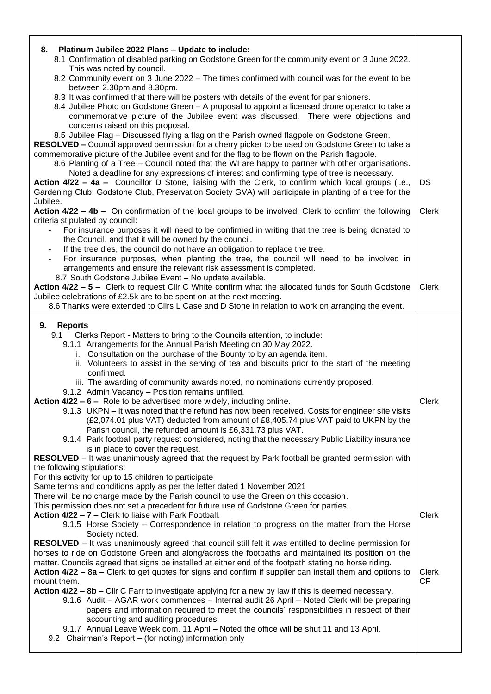| Platinum Jubilee 2022 Plans - Update to include:<br>8.<br>8.1 Confirmation of disabled parking on Godstone Green for the community event on 3 June 2022.<br>This was noted by council.                                                                                                                                                                                                                                                                                                                                                                                                                                                                                                                                                                                                                                                                                                                                                                                                                                                                                                                                                                                                                                                                        |                                    |
|---------------------------------------------------------------------------------------------------------------------------------------------------------------------------------------------------------------------------------------------------------------------------------------------------------------------------------------------------------------------------------------------------------------------------------------------------------------------------------------------------------------------------------------------------------------------------------------------------------------------------------------------------------------------------------------------------------------------------------------------------------------------------------------------------------------------------------------------------------------------------------------------------------------------------------------------------------------------------------------------------------------------------------------------------------------------------------------------------------------------------------------------------------------------------------------------------------------------------------------------------------------|------------------------------------|
| 8.2 Community event on 3 June 2022 - The times confirmed with council was for the event to be<br>between 2.30pm and 8.30pm.                                                                                                                                                                                                                                                                                                                                                                                                                                                                                                                                                                                                                                                                                                                                                                                                                                                                                                                                                                                                                                                                                                                                   |                                    |
| 8.3 It was confirmed that there will be posters with details of the event for parishioners.<br>8.4 Jubilee Photo on Godstone Green - A proposal to appoint a licensed drone operator to take a<br>commemorative picture of the Jubilee event was discussed. There were objections and<br>concerns raised on this proposal.                                                                                                                                                                                                                                                                                                                                                                                                                                                                                                                                                                                                                                                                                                                                                                                                                                                                                                                                    |                                    |
| 8.5 Jubilee Flag - Discussed flying a flag on the Parish owned flagpole on Godstone Green.<br><b>RESOLVED –</b> Council approved permission for a cherry picker to be used on Godstone Green to take a<br>commemorative picture of the Jubilee event and for the flag to be flown on the Parish flagpole.<br>8.6 Planting of a Tree - Council noted that the WI are happy to partner with other organisations.<br>Noted a deadline for any expressions of interest and confirming type of tree is necessary.                                                                                                                                                                                                                                                                                                                                                                                                                                                                                                                                                                                                                                                                                                                                                  |                                    |
| Action 4/22 - 4a - Councillor D Stone, liaising with the Clerk, to confirm which local groups (i.e.,<br>Gardening Club, Godstone Club, Preservation Society GVA) will participate in planting of a tree for the<br>Jubilee.                                                                                                                                                                                                                                                                                                                                                                                                                                                                                                                                                                                                                                                                                                                                                                                                                                                                                                                                                                                                                                   | DS                                 |
| Action 4/22 - 4b - On confirmation of the local groups to be involved, Clerk to confirm the following<br>criteria stipulated by council:                                                                                                                                                                                                                                                                                                                                                                                                                                                                                                                                                                                                                                                                                                                                                                                                                                                                                                                                                                                                                                                                                                                      | <b>Clerk</b>                       |
| For insurance purposes it will need to be confirmed in writing that the tree is being donated to<br>the Council, and that it will be owned by the council.<br>If the tree dies, the council do not have an obligation to replace the tree.<br>$\overline{\phantom{a}}$                                                                                                                                                                                                                                                                                                                                                                                                                                                                                                                                                                                                                                                                                                                                                                                                                                                                                                                                                                                        |                                    |
| For insurance purposes, when planting the tree, the council will need to be involved in<br>$\overline{\phantom{a}}$<br>arrangements and ensure the relevant risk assessment is completed.<br>8.7 South Godstone Jubilee Event - No update available.                                                                                                                                                                                                                                                                                                                                                                                                                                                                                                                                                                                                                                                                                                                                                                                                                                                                                                                                                                                                          |                                    |
| Action 4/22 - 5 - Clerk to request Cllr C White confirm what the allocated funds for South Godstone<br>Jubilee celebrations of £2.5k are to be spent on at the next meeting.                                                                                                                                                                                                                                                                                                                                                                                                                                                                                                                                                                                                                                                                                                                                                                                                                                                                                                                                                                                                                                                                                  | <b>Clerk</b>                       |
| 8.6 Thanks were extended to Cllrs L Case and D Stone in relation to work on arranging the event.                                                                                                                                                                                                                                                                                                                                                                                                                                                                                                                                                                                                                                                                                                                                                                                                                                                                                                                                                                                                                                                                                                                                                              |                                    |
| 9.<br><b>Reports</b><br>Clerks Report - Matters to bring to the Councils attention, to include:<br>9.1<br>9.1.1 Arrangements for the Annual Parish Meeting on 30 May 2022.<br>i. Consultation on the purchase of the Bounty to by an agenda item.<br>ii. Volunteers to assist in the serving of tea and biscuits prior to the start of the meeting<br>confirmed.<br>iii. The awarding of community awards noted, no nominations currently proposed.<br>9.1.2 Admin Vacancy - Position remains unfilled.<br>Action $4/22 - 6 -$ Role to be advertised more widely, including online.<br>9.1.3 UKPN - It was noted that the refund has now been received. Costs for engineer site visits<br>(£2,074.01 plus VAT) deducted from amount of £8,405.74 plus VAT paid to UKPN by the<br>Parish council, the refunded amount is £6,331.73 plus VAT.<br>9.1.4 Park football party request considered, noting that the necessary Public Liability insurance<br>is in place to cover the request.<br>RESOLVED - It was unanimously agreed that the request by Park football be granted permission with<br>the following stipulations:                                                                                                                                    | Clerk                              |
| For this activity for up to 15 children to participate<br>Same terms and conditions apply as per the letter dated 1 November 2021<br>There will be no charge made by the Parish council to use the Green on this occasion.<br>This permission does not set a precedent for future use of Godstone Green for parties.<br>Action 4/22 - 7 - Clerk to liaise with Park Football.<br>9.1.5 Horse Society – Correspondence in relation to progress on the matter from the Horse<br>Society noted.<br><b>RESOLVED</b> – It was unanimously agreed that council still felt it was entitled to decline permission for<br>horses to ride on Godstone Green and along/across the footpaths and maintained its position on the<br>matter. Councils agreed that signs be installed at either end of the footpath stating no horse riding.<br>Action 4/22 – 8a – Clerk to get quotes for signs and confirm if supplier can install them and options to<br>mount them.<br>Action 4/22 - 8b - Cllr C Farr to investigate applying for a new by law if this is deemed necessary.<br>9.1.6 Audit - AGAR work commences - Internal audit 26 April - Noted Clerk will be preparing<br>papers and information required to meet the councils' responsibilities in respect of their | <b>Clerk</b><br><b>Clerk</b><br>CF |
| accounting and auditing procedures.<br>9.1.7 Annual Leave Week com. 11 April - Noted the office will be shut 11 and 13 April.<br>9.2 Chairman's Report - (for noting) information only                                                                                                                                                                                                                                                                                                                                                                                                                                                                                                                                                                                                                                                                                                                                                                                                                                                                                                                                                                                                                                                                        |                                    |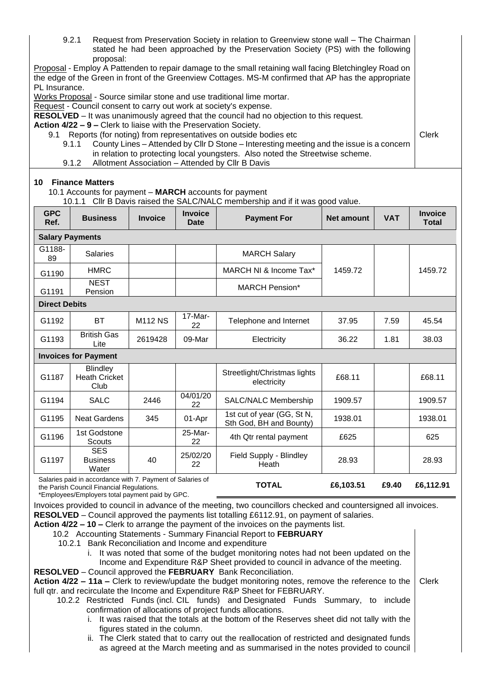| 9.2.1<br>Request from Preservation Society in relation to Greenview stone wall - The Chairman<br>stated he had been approached by the Preservation Society (PS) with the following<br>proposal:                                 |                                                                                                   |                |                               |                                                                               |                   |              |                         |
|---------------------------------------------------------------------------------------------------------------------------------------------------------------------------------------------------------------------------------|---------------------------------------------------------------------------------------------------|----------------|-------------------------------|-------------------------------------------------------------------------------|-------------------|--------------|-------------------------|
| Proposal - Employ A Pattenden to repair damage to the small retaining wall facing Bletchingley Road on<br>the edge of the Green in front of the Greenview Cottages. MS-M confirmed that AP has the appropriate<br>PL Insurance. |                                                                                                   |                |                               |                                                                               |                   |              |                         |
| Works Proposal - Source similar stone and use traditional lime mortar.                                                                                                                                                          |                                                                                                   |                |                               |                                                                               |                   |              |                         |
| Request - Council consent to carry out work at society's expense.                                                                                                                                                               |                                                                                                   |                |                               |                                                                               |                   |              |                         |
| RESOLVED - It was unanimously agreed that the council had no objection to this request.                                                                                                                                         |                                                                                                   |                |                               |                                                                               |                   |              |                         |
| Action 4/22 - 9 - Clerk to liaise with the Preservation Society.<br>Reports (for noting) from representatives on outside bodies etc<br>9.1                                                                                      |                                                                                                   |                |                               |                                                                               |                   | <b>Clerk</b> |                         |
|                                                                                                                                                                                                                                 | County Lines - Attended by Cllr D Stone - Interesting meeting and the issue is a concern<br>9.1.1 |                |                               |                                                                               |                   |              |                         |
|                                                                                                                                                                                                                                 |                                                                                                   |                |                               | in relation to protecting local youngsters. Also noted the Streetwise scheme. |                   |              |                         |
|                                                                                                                                                                                                                                 | 9.1.2                                                                                             |                |                               | Allotment Association - Attended by Cllr B Davis                              |                   |              |                         |
| <b>10 Finance Matters</b><br>10.1 Accounts for payment - MARCH accounts for payment<br>10.1.1 Cllr B Davis raised the SALC/NALC membership and if it was good value.                                                            |                                                                                                   |                |                               |                                                                               |                   |              |                         |
| <b>GPC</b><br>Ref.                                                                                                                                                                                                              | <b>Business</b>                                                                                   | <b>Invoice</b> | <b>Invoice</b><br><b>Date</b> | <b>Payment For</b>                                                            | <b>Net amount</b> | <b>VAT</b>   | <b>Invoice</b><br>Total |
|                                                                                                                                                                                                                                 | <b>Salary Payments</b>                                                                            |                |                               |                                                                               |                   |              |                         |
| G1188-<br>89                                                                                                                                                                                                                    | <b>Salaries</b>                                                                                   |                |                               | <b>MARCH Salary</b>                                                           |                   |              |                         |
| G1190                                                                                                                                                                                                                           | <b>HMRC</b>                                                                                       |                |                               | MARCH NI & Income Tax*                                                        | 1459.72           |              | 1459.72                 |
| G1191                                                                                                                                                                                                                           | <b>NEST</b><br>Pension                                                                            |                |                               | <b>MARCH Pension*</b>                                                         |                   |              |                         |
| <b>Direct Debits</b>                                                                                                                                                                                                            |                                                                                                   |                |                               |                                                                               |                   |              |                         |
| G1192                                                                                                                                                                                                                           | <b>BT</b>                                                                                         | <b>M112 NS</b> | 17-Mar-<br>22                 | Telephone and Internet                                                        | 37.95             | 7.59         | 45.54                   |
| G1193                                                                                                                                                                                                                           | <b>British Gas</b><br>Lite                                                                        | 2619428        | 09-Mar                        | Electricity                                                                   | 36.22             | 1.81         | 38.03                   |
|                                                                                                                                                                                                                                 | <b>Invoices for Payment</b>                                                                       |                |                               |                                                                               |                   |              |                         |
| G1187                                                                                                                                                                                                                           | <b>Blindley</b><br><b>Heath Cricket</b><br>Club                                                   |                |                               | Streetlight/Christmas lights<br>electricity                                   | £68.11            |              | £68.11                  |
| G1194                                                                                                                                                                                                                           | <b>SALC</b>                                                                                       | 2446           | 04/01/20<br>22                | SALC/NALC Membership                                                          | 1909.57           |              | 1909.57                 |
| G1195                                                                                                                                                                                                                           | <b>Neat Gardens</b>                                                                               | 345            | 01-Apr                        | 1st cut of year (GG, St N,<br>Sth God, BH and Bounty)                         | 1938.01           |              | 1938.01                 |
| G1196                                                                                                                                                                                                                           | 1st Godstone<br><b>Scouts</b>                                                                     |                | 25-Mar-<br>22                 | 4th Qtr rental payment                                                        | £625              |              | 625                     |
| G1197                                                                                                                                                                                                                           | <b>SES</b><br><b>Business</b><br>Water                                                            | 40             | 25/02/20<br>22                | Field Supply - Blindley<br>Heath                                              | 28.93             |              | 28.93                   |
| Salaries paid in accordance with 7. Payment of Salaries of<br>£6,103.51<br><b>TOTAL</b><br>£9.40<br>the Parish Council Financial Regulations.                                                                                   |                                                                                                   |                |                               |                                                                               | £6,112.91         |              |                         |

\*Employees/Employers total payment paid by GPC.

Invoices provided to council in advance of the meeting, two councillors checked and countersigned all invoices. **RESOLVED** – Council approved the payments list totalling £6112.91, on payment of salaries.

**Action 4/22 – 10 –** Clerk to arrange the payment of the invoices on the payments list.

10.2 Accounting Statements - Summary Financial Report to **FEBRUARY**

10.2.1 Bank Reconciliation and Income and expenditure

i. It was noted that some of the budget monitoring notes had not been updated on the Income and Expenditure R&P Sheet provided to council in advance of the meeting.

**RESOLVED** – Council approved the **FEBRUARY** Bank Reconciliation.

**Action 4/22 – 11a –** Clerk to review/update the budget monitoring notes, remove the reference to the full qtr. and recirculate the Income and Expenditure R&P Sheet for FEBRUARY. Clerk

10.2.2 Restricted Funds (incl. CIL funds) and Designated Funds Summary, to include confirmation of allocations of project funds allocations.

- i. It was raised that the totals at the bottom of the Reserves sheet did not tally with the figures stated in the column.
- ii. The Clerk stated that to carry out the reallocation of restricted and designated funds as agreed at the March meeting and as summarised in the notes provided to council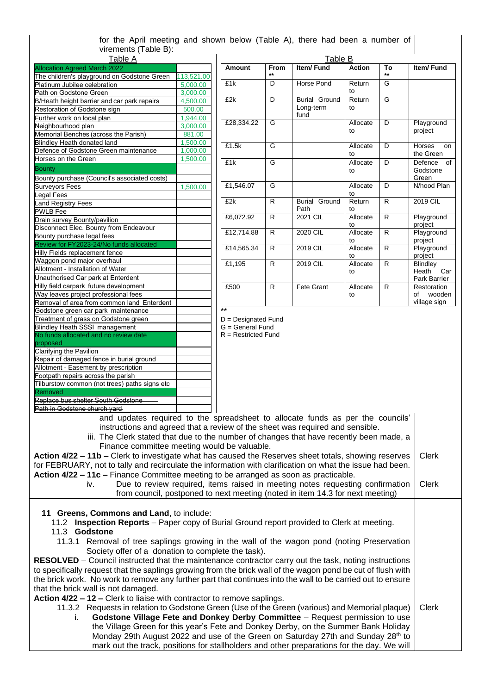#### for the April meeting and shown below (Table A), there had been a number of virements (Table B): Table A

| <u>i abie A</u>                               |            |
|-----------------------------------------------|------------|
| <b>Allocation Agreed March 2022</b>           |            |
| The children's playground on Godstone Green   | 113,521.00 |
| Platinum Jubilee celebration                  | 5,000.00   |
| Path on Godstone Green                        | 3,000.00   |
| B/Heath height barrier and car park repairs   | 4,500.00   |
| Restoration of Godstone sign                  | 500.00     |
| Further work on local plan                    | 1,944.00   |
| Neighbourhood plan                            | 3,000.00   |
| Memorial Benches (across the Parish)          | 881.00     |
| Blindley Heath donated land                   | 1,500.00   |
| Defence of Godstone Green maintenance         | 1,000.00   |
| Horses on the Green                           | 1,500.00   |
| <b>Bounty</b>                                 |            |
| Bounty purchase (Council's associated costs)  |            |
| <b>Surveyors Fees</b>                         | 1,500.00   |
| <b>Legal Fees</b>                             |            |
| Land Registry Fees                            |            |
| <b>PWLB</b> Fee                               |            |
| Drain survey Bounty/pavilion                  |            |
| Disconnect Elec. Bounty from Endeavour        |            |
| Bounty purchase legal fees                    |            |
| Review for FY2023-24/No funds allocated       |            |
| Hilly Fields replacement fence                |            |
| Waggon pond major overhaul                    |            |
| Allotment - Installation of Water             |            |
| Unauthorised Car park at Enterdent            |            |
| Hilly field carpark future development        |            |
| Way leaves project professional fees          |            |
| Removal of area from common land Enterdent    |            |
| Godstone green car park maintenance           |            |
| Treatment of grass on Godstone green          |            |
| <b>Blindley Heath SSSI management</b>         |            |
| No funds allocated and no review date         |            |
| proposed                                      |            |
| Clarifying the Pavilion                       |            |
| Repair of damaged fence in burial ground      |            |
| Allotment - Easement by prescription          |            |
| Footpath repairs across the parish            |            |
| Tilburstow common (not trees) paths signs etc |            |
| Removed                                       |            |
| Replace bus shelter South Godstone            |            |
|                                               |            |

| Table B                      |              |                                    |                |             |                                             |  |
|------------------------------|--------------|------------------------------------|----------------|-------------|---------------------------------------------|--|
| Amount                       | From<br>$**$ | <b>Item/Fund</b>                   | <b>Action</b>  | To<br>$***$ | Item/Fund                                   |  |
| £1k                          | D            | Horse Pond                         | Return<br>to   | G           |                                             |  |
| £2k                          | D            | Burial Ground<br>Long-term<br>fund | Return<br>to   | G           |                                             |  |
| £28,334.22                   | G            |                                    | Allocate<br>to | D           | Playground<br>project                       |  |
| £1.5k                        | G            |                                    | Allocate<br>tΩ | D           | <b>Horses</b><br>on<br>the Green            |  |
| £1k                          | G            |                                    | Allocate<br>to | D           | Defence<br>of<br>Godstone<br>Green          |  |
| £1,546.07                    | G            |                                    | Allocate<br>to | D           | N/hood Plan                                 |  |
| £2k                          | R            | Burial<br>Ground<br>Path           | Return<br>to   | R           | 2019 CIL                                    |  |
| £6,072.92                    | R            | 2021 CIL                           | Allocate<br>to | R           | Playground<br>project                       |  |
| £12,714.88                   | R            | 2020 CIL                           | Allocate<br>to | R           | Playground<br>project                       |  |
| £14,565.34                   | R            | 2019 CIL                           | Allocate<br>to | R           | Playground<br>project                       |  |
| £1,195                       | R            | 2019 CIL                           | Allocate<br>to | R           | Blindley<br>Heath<br>Car<br>Park Barrier    |  |
| £500<br>$\ddot{\phantom{0}}$ | R            | <b>Fete Grant</b>                  | Allocate<br>to | R           | Restoration<br>wooden<br>Ωf<br>village sign |  |

\*\* D = Designated Fund

 $G =$  General Fund

R = Restricted Fund

Path in Godstone church yard 

and updates required to the spreadsheet to allocate funds as per the councils' instructions and agreed that a review of the sheet was required and sensible.

iii. The Clerk stated that due to the number of changes that have recently been made, a Finance committee meeting would be valuable.

**Action 4/22 – 11b –** Clerk to investigate what has caused the Reserves sheet totals, showing reserves for FEBRUARY, not to tally and recirculate the information with clarification on what the issue had been. **Action 4/22 – 11c –** Finance Committee meeting to be arranged as soon as practicable. Clerk

iv. Due to review required, items raised in meeting notes requesting confirmation from council, postponed to next meeting (noted in item 14.3 for next meeting) Clerk

**11 Greens, Commons and Land**, to include:

- 11.2 **Inspection Reports** Paper copy of Burial Ground report provided to Clerk at meeting.
- 11.3 **Godstone**
	- 11.3.1 Removal of tree saplings growing in the wall of the wagon pond (noting Preservation Society offer of a donation to complete the task).

**RESOLVED** – Council instructed that the maintenance contractor carry out the task, noting instructions to specifically request that the saplings growing from the brick wall of the wagon pond be cut of flush with the brick work. No work to remove any further part that continues into the wall to be carried out to ensure that the brick wall is not damaged.

**Action 4/22 – 12 –** Clerk to liaise with contractor to remove saplings.

11.3.2 Requests in relation to Godstone Green (Use of the Green (various) and Memorial plaque) **Godstone Village Fete and Donkey Derby Committee** – Request permission to use the Village Green for this year's Fete and Donkey Derby, on the Summer Bank Holiday Monday 29th August 2022 and use of the Green on Saturday 27th and Sunday 28<sup>th</sup> to mark out the track, positions for stallholders and other preparations for the day. We will Clerk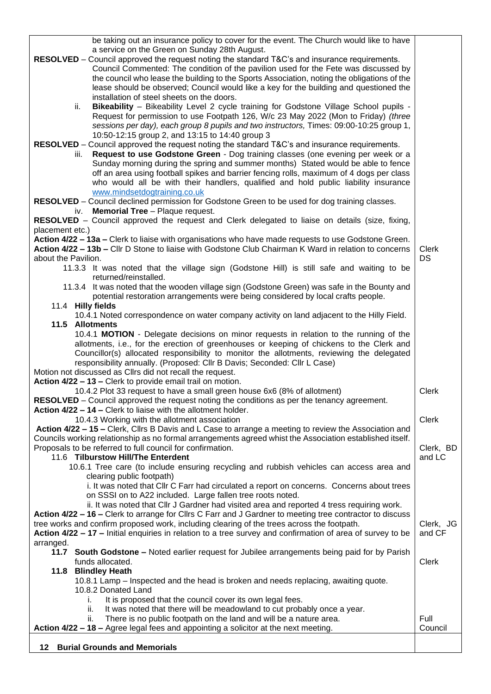be taking out an insurance policy to cover for the event. The Church would like to have a service on the Green on Sunday 28th August. **RESOLVED** – Council approved the request noting the standard T&C's and insurance requirements. Council Commented: The condition of the pavilion used for the Fete was discussed by the council who lease the building to the Sports Association, noting the obligations of the lease should be observed; Council would like a key for the building and questioned the installation of steel sheets on the doors. ii. **Bikeability** – Bikeability Level 2 cycle training for Godstone Village School pupils - Request for permission to use Footpath 126, W/c 23 May 2022 (Mon to Friday) *(three sessions per day), each group 8 pupils and two instructors,* Times: 09:00-10:25 group 1, 10:50-12:15 group 2, and 13:15 to 14:40 group 3 **RESOLVED** – Council approved the request noting the standard T&C's and insurance requirements. iii. **Request to use Godstone Green** - Dog training classes (one evening per week or a Sunday morning during the spring and summer months) Stated would be able to fence off an area using football spikes and barrier fencing rolls, maximum of 4 dogs per class who would all be with their handlers, qualified and hold public liability insurance [www.mindsetdogtraining.co.uk](http://www.mindsetdogtraining.co.uk/) **RESOLVED** – Council declined permission for Godstone Green to be used for dog training classes. iv. **Memorial Tree** – Plaque request. **RESOLVED** – Council approved the request and Clerk delegated to liaise on details (size, fixing, placement etc.) **Action 4/22 – 13a –** Clerk to liaise with organisations who have made requests to use Godstone Green. **Action 4/22 – 13b –** Cllr D Stone to liaise with Godstone Club Chairman K Ward in relation to concerns about the Pavilion. 11.3.3 It was noted that the village sign (Godstone Hill) is still safe and waiting to be returned/reinstalled. 11.3.4 It was noted that the wooden village sign (Godstone Green) was safe in the Bounty and potential restoration arrangements were being considered by local crafts people. 11.4 **Hilly fields** 10.4.1 Noted correspondence on water company activity on land adjacent to the Hilly Field. **11.5 Allotments** 10.4.1 **MOTION** - Delegate decisions on minor requests in relation to the running of the allotments, i.e., for the erection of greenhouses or keeping of chickens to the Clerk and Councillor(s) allocated responsibility to monitor the allotments, reviewing the delegated responsibility annually. (Proposed: Cllr B Davis; Seconded: Cllr L Case) Motion not discussed as Cllrs did not recall the request. **Action 4/22 – 13 –** Clerk to provide email trail on motion. 10.4.2 Plot 33 request to have a small green house 6x6 (8% of allotment) **RESOLVED** – Council approved the request noting the conditions as per the tenancy agreement. **Action 4/22 – 14 –** Clerk to liaise with the allotment holder. 10.4.3 Working with the allotment association **Action 4/22 – 15 –** Clerk, Cllrs B Davis and L Case to arrange a meeting to review the Association and Councils working relationship as no formal arrangements agreed whist the Association established itself. Proposals to be referred to full council for confirmation. 11.6 **Tilburstow Hill/The Enterdent** 10.6.1 Tree care (to include ensuring recycling and rubbish vehicles can access area and clearing public footpath) i. It was noted that Cllr C Farr had circulated a report on concerns. Concerns about trees on SSSI on to A22 included. Large fallen tree roots noted. ii. It was noted that Cllr J Gardner had visited area and reported 4 tress requiring work. **Action 4/22 – 16 –** Clerk to arrange for Cllrs C Farr and J Gardner to meeting tree contractor to discuss tree works and confirm proposed work, including clearing of the trees across the footpath. **Action 4/22 – 17 –** Initial enquiries in relation to a tree survey and confirmation of area of survey to be arranged. **11.7 South Godstone –** Noted earlier request for Jubilee arrangements being paid for by Parish funds allocated. **11.8 Blindley Heath** 10.8.1 Lamp – Inspected and the head is broken and needs replacing, awaiting quote. 10.8.2 Donated Land i. It is proposed that the council cover its own legal fees. ii. It was noted that there will be meadowland to cut probably once a year. ii. There is no public footpath on the land and will be a nature area. **Action 4/22 – 18 –** Agree legal fees and appointing a solicitor at the next meeting. Clerk DS Clerk Clerk Clerk, BD and LC Clerk, JG and CF Clerk Full Council **12 Burial Grounds and Memorials**